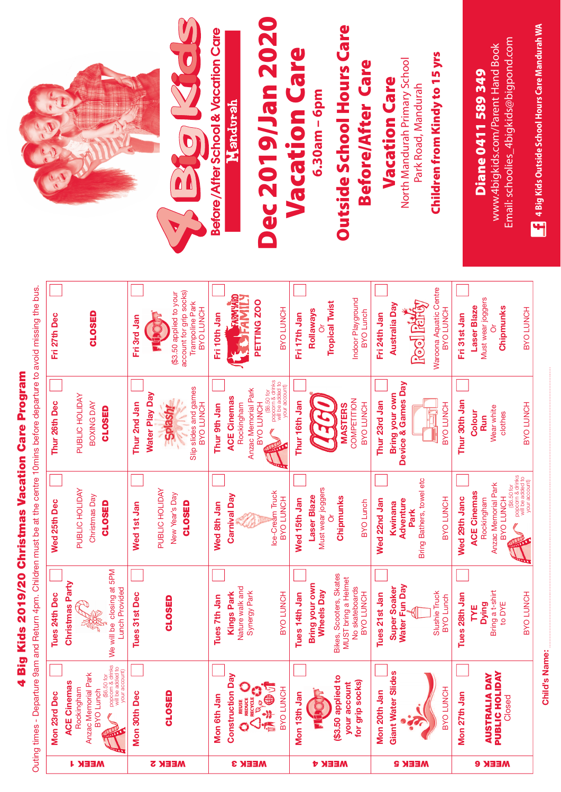## 4 Big Kids 2019/20 Christmas Vacation Care Program **4 Big Kids 2019/20 Christmas Vacation Care Program**

Outing times - Departure 9am and Return 4pm. Children must be at the centre 10mins before departure to avoid missing the bus. Outing times - Departure 9am and Return 4pm. Children must be at the centre 10mins before departure to avoid missing the bus.

|               | Mon 23rd Dec                                         | Tues 24th Dec                                         | Wed 25th Dec                                                         | Thur 26th Dec                               | Fri 27th Dec                               |
|---------------|------------------------------------------------------|-------------------------------------------------------|----------------------------------------------------------------------|---------------------------------------------|--------------------------------------------|
|               | <b>ACE Cinemas</b>                                   |                                                       |                                                                      |                                             |                                            |
| <b>WEEK1</b>  | Rockingham                                           | Christmas Party                                       | PUBLIC HOLIDAY                                                       | PUBLIC HOLIDAY                              |                                            |
|               | Anzac Memorial Park                                  |                                                       | Christmas Day                                                        | BOXING DAY                                  | <b>CLOSED</b>                              |
|               | (\$6.50 for<br><b>BYO</b> Lunch                      |                                                       | <b>CLOSED</b>                                                        | <b>CLOSED</b>                               |                                            |
|               | popoom & drinks<br>will be added to<br>your account) | We will be closing at 5PM<br><b>Lunch Provided</b>    |                                                                      |                                             |                                            |
|               | Mon 30th Dec                                         | Tues 31st Dec                                         | Wed 1st Jan                                                          | Thur 2nd Jan                                | Fri 3rd Jan                                |
|               |                                                      |                                                       | PUBLIC HOLIDAY                                                       | <b>Water Play Day</b>                       |                                            |
| <b>MEEK 2</b> | <b>CLOSEI</b>                                        | <b>CLOSED</b>                                         | New Year's Day                                                       | <b>Splasht</b>                              | (\$3.50 applied to your                    |
|               |                                                      |                                                       | <b>CLOSED</b>                                                        |                                             | account for grip socks)                    |
|               |                                                      |                                                       |                                                                      | Slip slides and games<br>BVO LUNCH          | <b>Trampoline Park</b><br><b>BVO LUNCH</b> |
|               | Mon 6th Jan                                          | Tues 7th Jan                                          | Wed 8th Jan                                                          | Thur 9th Jan                                | Fri 10th Jan                               |
|               | <b>Construction Day</b>                              | <b>Kings Park</b>                                     | <b>Carnival Day</b>                                                  | <b>ACE Cinemas</b>                          | <b>CONTRACTOR</b>                          |
|               |                                                      | Nature walk and<br>Synergy Park                       |                                                                      | Anzac Memorial Park<br>Rockingham           |                                            |
| <b>MEEK3</b>  | <b>C'S</b><br><b>OCHANGE</b>                         |                                                       |                                                                      | <b>BAO LUNCH</b>                            | PETTING ZOO                                |
|               |                                                      |                                                       | Ice-Cream Truck                                                      | popcom & drinks<br>(\$6.50 for              |                                            |
|               | BYO LUNCH                                            | <b>BVO LUNCH</b>                                      | <b>BYO LUNCH</b>                                                     | your account)                               | BVO LUNCH                                  |
|               | Mon 13th Jan                                         | Tues 14th Jan                                         | Wed 15th Jan                                                         | Thur 16th Jan                               | Fri 17th Jan                               |
|               |                                                      | <b>Bring your own</b>                                 | <b>Laser Blaze</b>                                                   |                                             | Rollaways                                  |
|               |                                                      | <b>Wheels Day</b>                                     | Must wear joggers<br>ð                                               | 1771                                        | <b>Tropical Twist</b>                      |
| <b>MEEK 4</b> | (\$3.50 applied to<br>your account                   | Bikes, Scooters, Skates<br><b>MUST</b> bring a Helmet | Chipmunks                                                            | <b>MASTERS</b>                              |                                            |
|               | for grip socks)                                      | No skateboards<br>BYO LUNCH                           | <b>BYO Lunch</b>                                                     | COMPETITION<br>BVO LUNCH                    | Indoor Playground<br><b>BYO</b> Lunch      |
|               | $\blacksquare$<br>Mon 20th Ja                        | Tues 21st Jan                                         | Wed 22nd Jan                                                         | Thur 23rd Jan                               | Fri 24th Jan                               |
|               | <b>Slides</b><br><b>Giant Water</b>                  | Water Fun Day<br><b>Super Soaker</b>                  | Adventure<br>Kwinana                                                 | Device & Games Day<br><b>Bring your own</b> | Australia Day                              |
| <b>MEEKS</b>  |                                                      |                                                       | Bring Bathers, towel etc<br>Park                                     |                                             | <b>Rool Rafty</b>                          |
|               | 공<br>BYO LUN                                         | Slushie Truck<br><b>BYO</b> Lunch                     | BYO LUNCH                                                            | BVO LUNCH                                   | Waroona Aquatic Centre<br>BVO LUNCH        |
|               | Mon 27th Jan                                         | Tues 28th Jan                                         | Wed 29th Janc                                                        | Thur 30th Jan                               | Fri 31st Jan                               |
|               |                                                      | <b>TYE</b>                                            | <b>ACE Cinemas</b>                                                   | Colour                                      | <b>Laser Blaze</b>                         |
|               | <b>DAY</b><br>AUSTRALIA                              | <b>Dying</b>                                          | Rockingham                                                           | Wear white<br>Run                           | Must wear joggers                          |
| <b>MEEK e</b> | <b>PUBLIC HOLIDAY</b><br>Closed                      | Bring a t-shirt<br>to DYE                             | <b>Anzac Memorial Park</b><br>BVO LUNCH                              | clothes                                     | Chipmunks                                  |
|               |                                                      | BVO LUNCH                                             | popcorn & drinks<br>will be added to<br>your account)<br>(\$6.50 for | BYO LUNCH                                   | BYO LUNCH                                  |
|               |                                                      |                                                       |                                                                      |                                             |                                            |



## **Dec 2019/Jan 2020**  Dec 2019/Jan 2020 **Vacation Care Vacation Care** 6.30am - 6pm **6.30am – 6pm**

**Outside School Hours Care Outside School Hours Care** 

## **Before/After Care Before/After Care**

**Vacation Care Vacation Care**

North Mandurah Primary School North Mandurah Primary School Park Road, Mandurah Park Road, Mandurah

**Children from Kindy to 15 yrs** 

Children from Kindy to 15 yrs

Email: schoolies\_4bigkids@bigpond.com Email: schoolies\_4bigkids@bigpond.com www.4bigkids.com/Parent Hand Book www.4bigkids.com/Parent Hand Book

4 Big Kids Outside School Hours Care Mandurah WA **4 Big Kids Outside School Hours Care Mandurah WA**

> **Child's Name: Child's Name:**